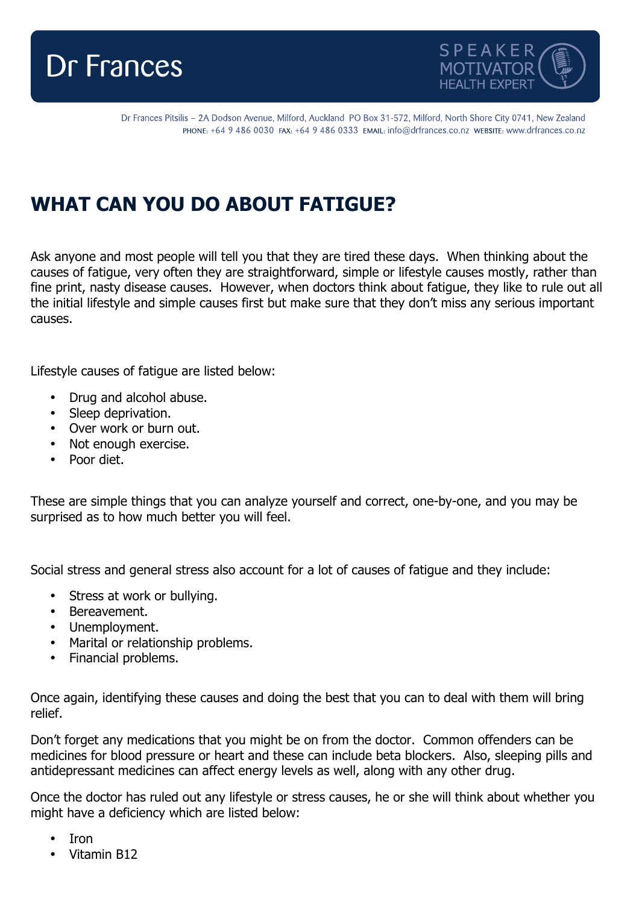



Dr Frances Pitsilis - 2A Dodson Avenue, Milford, Auckland PO Box 31-572, Milford, North Shore City 0741, New Zealand PHONE: +64 9 486 0030 FAX: +64 9 486 0333 EMAIL: info@drfrances.co.nz WEBSITE: www.drfrances.co.nz

## **WHAT CAN YOU DO ABOUT FATIGUE?**

Ask anyone and most people will tell you that they are tired these days. When thinking about the causes of fatigue, very often they are straightforward, simple or lifestyle causes mostly, rather than fine print, nasty disease causes. However, when doctors think about fatigue, they like to rule out all the initial lifestyle and simple causes first but make sure that they don't miss any serious important causes.

Lifestyle causes of fatigue are listed below:

- Drug and alcohol abuse.
- Sleep deprivation.
- Over work or burn out.
- Not enough exercise.
- Poor diet.

These are simple things that you can analyze yourself and correct, one-by-one, and you may be surprised as to how much better you will feel.

Social stress and general stress also account for a lot of causes of fatigue and they include:

- Stress at work or bullying.
- Bereavement.
- Unemployment.
- Marital or relationship problems.
- Financial problems.

Once again, identifying these causes and doing the best that you can to deal with them will bring relief.

Don't forget any medications that you might be on from the doctor. Common offenders can be medicines for blood pressure or heart and these can include beta blockers. Also, sleeping pills and antidepressant medicines can affect energy levels as well, along with any other drug.

Once the doctor has ruled out any lifestyle or stress causes, he or she will think about whether you might have a deficiency which are listed below:

- Iron
- Vitamin B12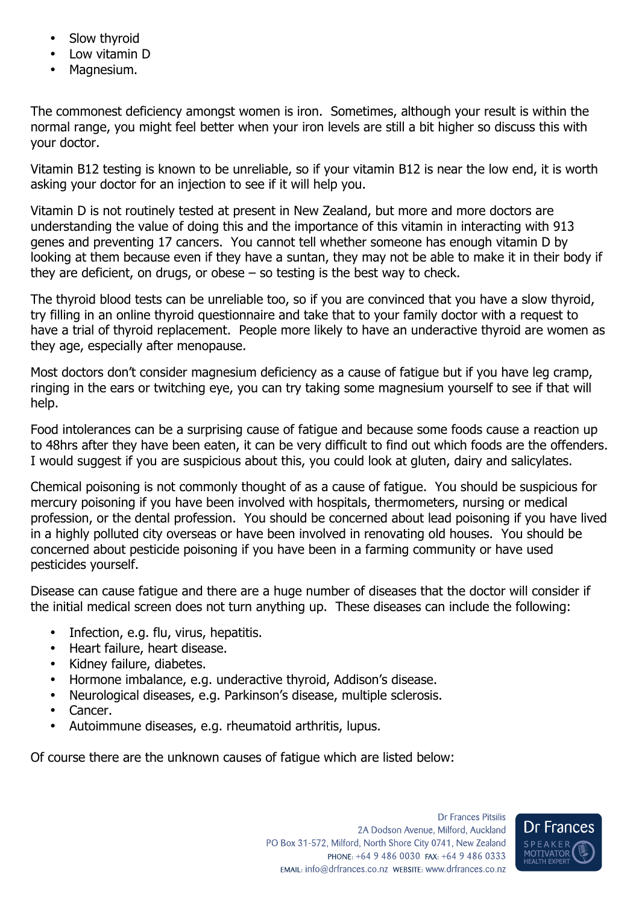- Slow thyroid
- Low vitamin D
- Magnesium.

The commonest deficiency amongst women is iron. Sometimes, although your result is within the normal range, you might feel better when your iron levels are still a bit higher so discuss this with your doctor.

Vitamin B12 testing is known to be unreliable, so if your vitamin B12 is near the low end, it is worth asking your doctor for an injection to see if it will help you.

Vitamin D is not routinely tested at present in New Zealand, but more and more doctors are understanding the value of doing this and the importance of this vitamin in interacting with 913 genes and preventing 17 cancers. You cannot tell whether someone has enough vitamin D by looking at them because even if they have a suntan, they may not be able to make it in their body if they are deficient, on drugs, or obese – so testing is the best way to check.

The thyroid blood tests can be unreliable too, so if you are convinced that you have a slow thyroid, try filling in an online thyroid questionnaire and take that to your family doctor with a request to have a trial of thyroid replacement. People more likely to have an underactive thyroid are women as they age, especially after menopause.

Most doctors don't consider magnesium deficiency as a cause of fatigue but if you have leg cramp, ringing in the ears or twitching eye, you can try taking some magnesium yourself to see if that will help.

Food intolerances can be a surprising cause of fatigue and because some foods cause a reaction up to 48hrs after they have been eaten, it can be very difficult to find out which foods are the offenders. I would suggest if you are suspicious about this, you could look at gluten, dairy and salicylates.

Chemical poisoning is not commonly thought of as a cause of fatigue. You should be suspicious for mercury poisoning if you have been involved with hospitals, thermometers, nursing or medical profession, or the dental profession. You should be concerned about lead poisoning if you have lived in a highly polluted city overseas or have been involved in renovating old houses. You should be concerned about pesticide poisoning if you have been in a farming community or have used pesticides yourself.

Disease can cause fatigue and there are a huge number of diseases that the doctor will consider if the initial medical screen does not turn anything up. These diseases can include the following:

- Infection, e.g. flu, virus, hepatitis.
- Heart failure, heart disease.
- Kidney failure, diabetes.
- Hormone imbalance, e.g. underactive thyroid, Addison's disease.
- Neurological diseases, e.g. Parkinson's disease, multiple sclerosis.
- Cancer.
- Autoimmune diseases, e.g. rheumatoid arthritis, lupus.

Of course there are the unknown causes of fatigue which are listed below: